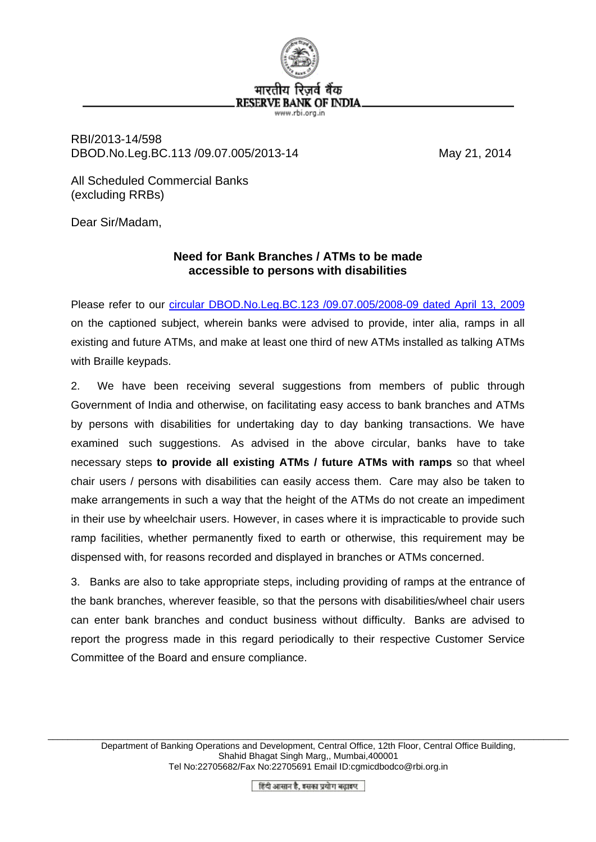

RBI/2013-14/598 DBOD.No.Leg.BC.113 /09.07.005/2013-14 May 21, 2014

All Scheduled Commercial Banks (excluding RRBs)

Dear Sir/Madam,

## **Need for Bank Branches / ATMs to be made accessible to persons with disabilities**

Please refer to our [circular DBOD.No.Leg.BC.123 /09.07.005/2008-09 dated April 13, 2009](http://www.rbi.org.in/scripts/NotificationUser.aspx?Id=4923&Mode=0) on the captioned subject, wherein banks were advised to provide, inter alia, ramps in all existing and future ATMs, and make at least one third of new ATMs installed as talking ATMs with Braille keypads.

2. We have been receiving several suggestions from members of public through Government of India and otherwise, on facilitating easy access to bank branches and ATMs by persons with disabilities for undertaking day to day banking transactions. We have examined such suggestions. As advised in the above circular, banks have to take necessary steps **to provide all existing ATMs / future ATMs with ramps** so that wheel chair users / persons with disabilities can easily access them. Care may also be taken to make arrangements in such a way that the height of the ATMs do not create an impediment in their use by wheelchair users. However, in cases where it is impracticable to provide such ramp facilities, whether permanently fixed to earth or otherwise, this requirement may be dispensed with, for reasons recorded and displayed in branches or ATMs concerned.

3. Banks are also to take appropriate steps, including providing of ramps at the entrance of the bank branches, wherever feasible, so that the persons with disabilities/wheel chair users can enter bank branches and conduct business without difficulty. Banks are advised to report the progress made in this regard periodically to their respective Customer Service Committee of the Board and ensure compliance.

हिंदी आसान है, इसका प्रयोग बढ़ाइए